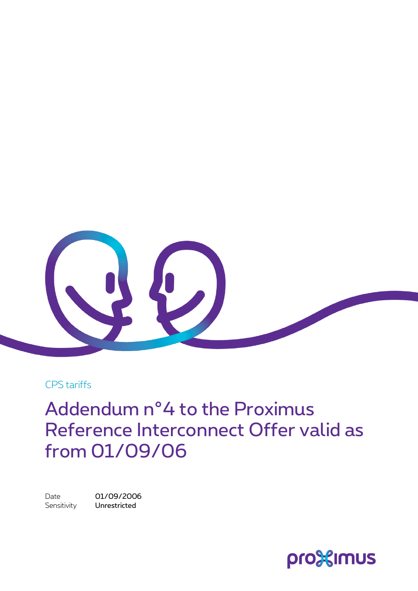

CPS tariffs

Addendum n°4 to the Proximus Reference Interconnect Offer valid as from 01/09/06

Date 01/09/2006 Sensitivity **Unrestricted** 

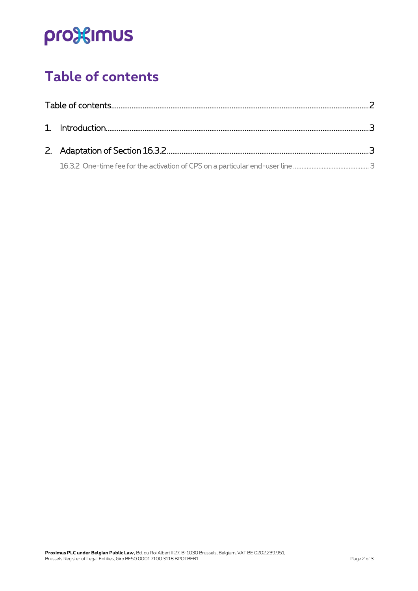# pro<sup>32</sup>imus

## <span id="page-1-0"></span>**Table of contents**